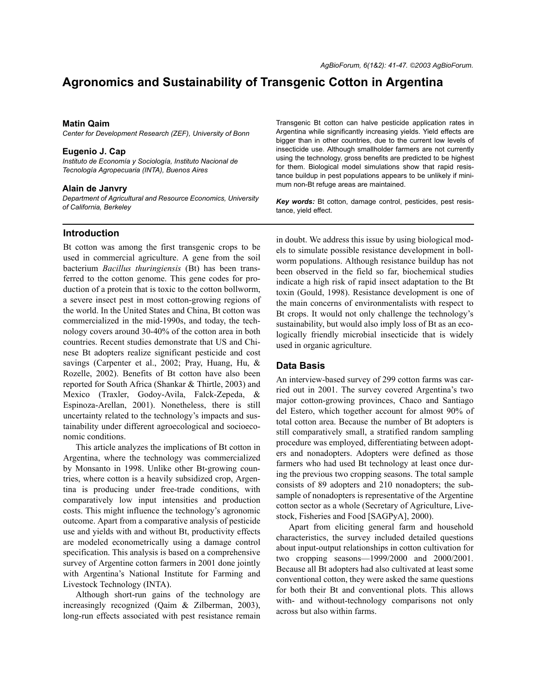# **Agronomics and Sustainability of Transgenic Cotton in Argentina**

#### **Matin Qaim**

*Center for Development Research (ZEF), University of Bonn*

#### **Eugenio J. Cap**

Instituto de Economía y Sociología, Instituto Nacional de *TecnologÌa Agropecuaria (INTA), Buenos Aires*

#### **Alain de Janvry**

*Department of Agricultural and Resource Economics, University of California, Berkeley*

#### **Introduction**

Bt cotton was among the first transgenic crops to be used in commercial agriculture. A gene from the soil bacterium *Bacillus thuringiensis* (Bt) has been transferred to the cotton genome. This gene codes for production of a protein that is toxic to the cotton bollworm, a severe insect pest in most cotton-growing regions of the world. In the United States and China, Bt cotton was commercialized in the mid-1990s, and today, the technology covers around 30-40% of the cotton area in both countries. Recent studies demonstrate that US and Chinese Bt adopters realize significant pesticide and cost savings (Carpenter et al., 2002; Pray, Huang, Hu, & Rozelle, 2002). Benefits of Bt cotton have also been reported for South Africa (Shankar & Thirtle, 2003) and Mexico (Traxler, Godoy-Avila, Falck-Zepeda, & Espinoza-Arellan, 2001). Nonetheless, there is still uncertainty related to the technology's impacts and sustainability under different agroecological and socioeconomic conditions.

This article analyzes the implications of Bt cotton in Argentina, where the technology was commercialized by Monsanto in 1998. Unlike other Bt-growing countries, where cotton is a heavily subsidized crop, Argentina is producing under free-trade conditions, with comparatively low input intensities and production costs. This might influence the technology's agronomic outcome. Apart from a comparative analysis of pesticide use and yields with and without Bt, productivity effects are modeled econometrically using a damage control specification. This analysis is based on a comprehensive survey of Argentine cotton farmers in 2001 done jointly with Argentina's National Institute for Farming and Livestock Technology (INTA).

Although short-run gains of the technology are increasingly recognized (Qaim & Zilberman, 2003), long-run effects associated with pest resistance remain Transgenic Bt cotton can halve pesticide application rates in Argentina while significantly increasing yields. Yield effects are bigger than in other countries, due to the current low levels of insecticide use. Although smallholder farmers are not currently using the technology, gross benefits are predicted to be highest for them. Biological model simulations show that rapid resistance buildup in pest populations appears to be unlikely if minimum non-Bt refuge areas are maintained.

*Key words:* Bt cotton, damage control, pesticides, pest resistance, yield effect.

in doubt. We address this issue by using biological models to simulate possible resistance development in bollworm populations. Although resistance buildup has not been observed in the field so far, biochemical studies indicate a high risk of rapid insect adaptation to the Bt toxin (Gould, 1998). Resistance development is one of the main concerns of environmentalists with respect to Bt crops. It would not only challenge the technology's sustainability, but would also imply loss of Bt as an ecologically friendly microbial insecticide that is widely used in organic agriculture.

### **Data Basis**

An interview-based survey of 299 cotton farms was carried out in 2001. The survey covered Argentina's two major cotton-growing provinces, Chaco and Santiago del Estero, which together account for almost 90% of total cotton area. Because the number of Bt adopters is still comparatively small, a stratified random sampling procedure was employed, differentiating between adopters and nonadopters. Adopters were defined as those farmers who had used Bt technology at least once during the previous two cropping seasons. The total sample consists of 89 adopters and 210 nonadopters; the subsample of nonadopters is representative of the Argentine cotton sector as a whole (Secretary of Agriculture, Livestock, Fisheries and Food [SAGPyA], 2000).

Apart from eliciting general farm and household characteristics, the survey included detailed questions about input-output relationships in cotton cultivation for two cropping seasons $-1999/2000$  and  $2000/2001$ . Because all Bt adopters had also cultivated at least some conventional cotton, they were asked the same questions for both their Bt and conventional plots. This allows with- and without-technology comparisons not only across but also within farms.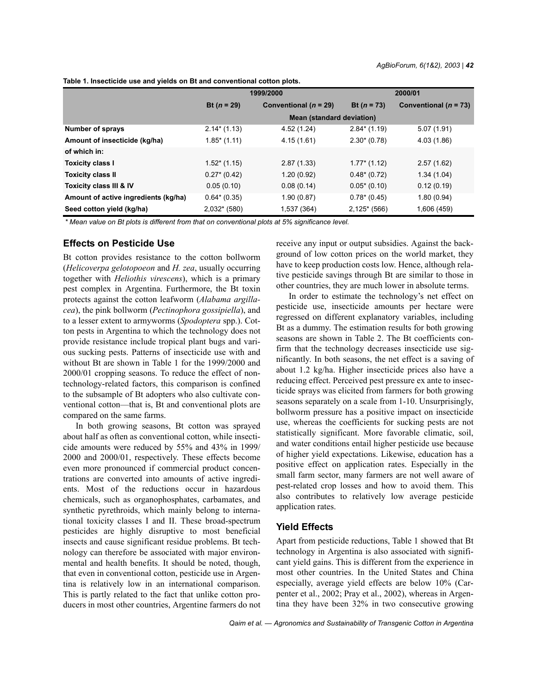**Table 1. Insecticide use and yields on Bt and conventional cotton plots.**

|                                      | 1999/2000                        |                           | 2000/01       |                           |
|--------------------------------------|----------------------------------|---------------------------|---------------|---------------------------|
|                                      | Bt $(n = 29)$                    | Conventional ( $n = 29$ ) | Bt $(n = 73)$ | Conventional ( $n = 73$ ) |
|                                      | <b>Mean (standard deviation)</b> |                           |               |                           |
| <b>Number of sprays</b>              | $2.14*(1.13)$                    | 4.52 (1.24)               | $2.84*(1.19)$ | 5.07(1.91)                |
| Amount of insecticide (kg/ha)        | $1.85^*$ (1.11)                  | 4.15(1.61)                | $2.30*(0.78)$ | 4.03 (1.86)               |
| of which in:                         |                                  |                           |               |                           |
| <b>Toxicity class I</b>              | $1.52*(1.15)$                    | 2.87(1.33)                | $1.77*(1.12)$ | 2.57(1.62)                |
| <b>Toxicity class II</b>             | $0.27*(0.42)$                    | 1.20(0.92)                | $0.48*(0.72)$ | 1.34(1.04)                |
| Toxicity class III & IV              | 0.05(0.10)                       | 0.08(0.14)                | $0.05*(0.10)$ | 0.12(0.19)                |
| Amount of active ingredients (kg/ha) | $0.64*(0.35)$                    | 1.90(0.87)                | $0.78*(0.45)$ | 1.80(0.94)                |
| Seed cotton yield (kg/ha)            | $2,032*$ (580)                   | 1,537 (364)               | $2,125*(566)$ | 1,606 (459)               |

*\* Mean value on Bt plots is different from that on conventional plots at 5% significance level.*

## **Effects on Pesticide Use**

Bt cotton provides resistance to the cotton bollworm (*Helicoverpa gelotopoeon* and *H. zea*, usually occurring together with *Heliothis virescens*), which is a primary pest complex in Argentina. Furthermore, the Bt toxin protects against the cotton leafworm (*Alabama argillacea*), the pink bollworm (*Pectinophora gossipiella*), and to a lesser extent to armyworms (*Spodoptera* spp.). Cotton pests in Argentina to which the technology does not provide resistance include tropical plant bugs and various sucking pests. Patterns of insecticide use with and without Bt are shown in Table 1 for the 1999/2000 and 2000/01 cropping seasons. To reduce the effect of nontechnology-related factors, this comparison is confined to the subsample of Bt adopters who also cultivate conventional cotton—that is, Bt and conventional plots are compared on the same farms.

In both growing seasons, Bt cotton was sprayed about half as often as conventional cotton, while insecticide amounts were reduced by 55% and 43% in 1999/ 2000 and 2000/01, respectively. These effects become even more pronounced if commercial product concentrations are converted into amounts of active ingredients. Most of the reductions occur in hazardous chemicals, such as organophosphates, carbamates, and synthetic pyrethroids, which mainly belong to international toxicity classes I and II. These broad-spectrum pesticides are highly disruptive to most beneficial insects and cause significant residue problems. Bt technology can therefore be associated with major environmental and health benefits. It should be noted, though, that even in conventional cotton, pesticide use in Argentina is relatively low in an international comparison. This is partly related to the fact that unlike cotton producers in most other countries, Argentine farmers do not receive any input or output subsidies. Against the background of low cotton prices on the world market, they have to keep production costs low. Hence, although relative pesticide savings through Bt are similar to those in other countries, they are much lower in absolute terms.

In order to estimate the technology's net effect on pesticide use, insecticide amounts per hectare were regressed on different explanatory variables, including Bt as a dummy. The estimation results for both growing seasons are shown in Table 2. The Bt coefficients confirm that the technology decreases insecticide use significantly. In both seasons, the net effect is a saving of about 1.2 kg/ha. Higher insecticide prices also have a reducing effect. Perceived pest pressure ex ante to insecticide sprays was elicited from farmers for both growing seasons separately on a scale from 1-10. Unsurprisingly, bollworm pressure has a positive impact on insecticide use, whereas the coefficients for sucking pests are not statistically significant. More favorable climatic, soil, and water conditions entail higher pesticide use because of higher yield expectations. Likewise, education has a positive effect on application rates. Especially in the small farm sector, many farmers are not well aware of pest-related crop losses and how to avoid them. This also contributes to relatively low average pesticide application rates.

## **Yield Effects**

Apart from pesticide reductions, Table 1 showed that Bt technology in Argentina is also associated with significant yield gains. This is different from the experience in most other countries. In the United States and China especially, average yield effects are below 10% (Carpenter et al., 2002; Pray et al., 2002), whereas in Argentina they have been 32% in two consecutive growing

Qaim et al. - Agronomics and Sustainability of Transgenic Cotton in Argentina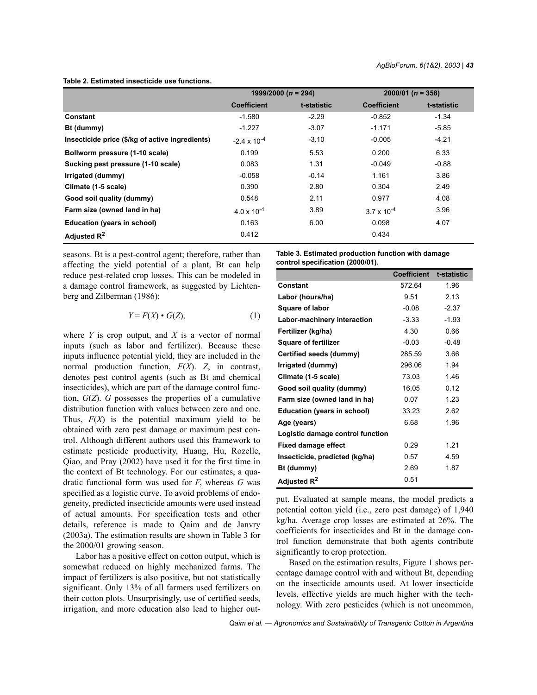**Table 2. Estimated insecticide use functions.**

|                                                 | 1999/2000 ( $n = 294$ ) |             | $2000/01$ (n = 358)  |             |
|-------------------------------------------------|-------------------------|-------------|----------------------|-------------|
|                                                 | <b>Coefficient</b>      | t-statistic | <b>Coefficient</b>   | t-statistic |
| Constant                                        | $-1.580$                | $-2.29$     | $-0.852$             | $-1.34$     |
| Bt (dummy)                                      | $-1.227$                | $-3.07$     | $-1.171$             | $-5.85$     |
| Insecticide price (\$/kg of active ingredients) | $-2.4 \times 10^{-4}$   | $-3.10$     | $-0.005$             | $-4.21$     |
| Bollworm pressure (1-10 scale)                  | 0.199                   | 5.53        | 0.200                | 6.33        |
| Sucking pest pressure (1-10 scale)              | 0.083                   | 1.31        | $-0.049$             | $-0.88$     |
| Irrigated (dummy)                               | $-0.058$                | $-0.14$     | 1.161                | 3.86        |
| Climate (1-5 scale)                             | 0.390                   | 2.80        | 0.304                | 2.49        |
| Good soil quality (dummy)                       | 0.548                   | 2.11        | 0.977                | 4.08        |
| Farm size (owned land in ha)                    | $4.0 \times 10^{-4}$    | 3.89        | $3.7 \times 10^{-4}$ | 3.96        |
| Education (years in school)                     | 0.163                   | 6.00        | 0.098                | 4.07        |
| Adjusted $R^2$                                  | 0.412                   |             | 0.434                |             |

seasons. Bt is a pest-control agent; therefore, rather than affecting the yield potential of a plant, Bt can help reduce pest-related crop losses. This can be modeled in a damage control framework, as suggested by Lichtenberg and Zilberman (1986):

$$
Y = F(X) \bullet G(Z), \tag{1}
$$

where *Y* is crop output, and *X* is a vector of normal inputs (such as labor and fertilizer). Because these inputs influence potential yield, they are included in the normal production function, *F*(*X*). *Z*, in contrast, denotes pest control agents (such as Bt and chemical insecticides), which are part of the damage control function, *G*(*Z*). *G* possesses the properties of a cumulative distribution function with values between zero and one. Thus, *F*(*X*) is the potential maximum yield to be obtained with zero pest damage or maximum pest control. Although different authors used this framework to estimate pesticide productivity, Huang, Hu, Rozelle, Qiao, and Pray (2002) have used it for the first time in the context of Bt technology. For our estimates, a quadratic functional form was used for *F*, whereas *G* was specified as a logistic curve. To avoid problems of endogeneity, predicted insecticide amounts were used instead of actual amounts. For specification tests and other details, reference is made to Qaim and de Janvry (2003a). The estimation results are shown in Table 3 for the 2000/01 growing season.

Labor has a positive effect on cotton output, which is somewhat reduced on highly mechanized farms. The impact of fertilizers is also positive, but not statistically significant. Only 13% of all farmers used fertilizers on their cotton plots. Unsurprisingly, use of certified seeds, irrigation, and more education also lead to higher out**Table 3. Estimated production function with damage control specification (2000/01).**

|                                    | <b>Coefficient</b> | t-statistic |
|------------------------------------|--------------------|-------------|
| Constant                           | 572.64             | 1.96        |
| Labor (hours/ha)                   | 9.51               | 2.13        |
| <b>Square of labor</b>             | $-0.08$            | $-2.37$     |
| Labor-machinery interaction        | $-3.33$            | $-1.93$     |
| Fertilizer (kg/ha)                 | 4.30               | 0.66        |
| <b>Square of fertilizer</b>        | $-0.03$            | $-0.48$     |
| Certified seeds (dummy)            | 285.59             | 3.66        |
| Irrigated (dummy)                  | 296.06             | 1.94        |
| Climate (1-5 scale)                | 73.03              | 146         |
| Good soil quality (dummy)          | 16.05              | 0.12        |
| Farm size (owned land in ha)       | 0.07               | 1.23        |
| <b>Education (years in school)</b> | 33.23              | 2.62        |
| Age (years)                        | 6.68               | 1.96        |
| Logistic damage control function   |                    |             |
| <b>Fixed damage effect</b>         | 0.29               | 1.21        |
| Insecticide, predicted (kg/ha)     | 0.57               | 4.59        |
| Bt (dummy)                         | 2.69               | 1.87        |
| Adjusted R <sup>2</sup>            | 0.51               |             |

put. Evaluated at sample means, the model predicts a potential cotton yield (i.e., zero pest damage) of 1,940 kg/ha. Average crop losses are estimated at 26%. The coefficients for insecticides and Bt in the damage control function demonstrate that both agents contribute significantly to crop protection.

Based on the estimation results, Figure 1 shows percentage damage control with and without Bt, depending on the insecticide amounts used. At lower insecticide levels, effective yields are much higher with the technology. With zero pesticides (which is not uncommon,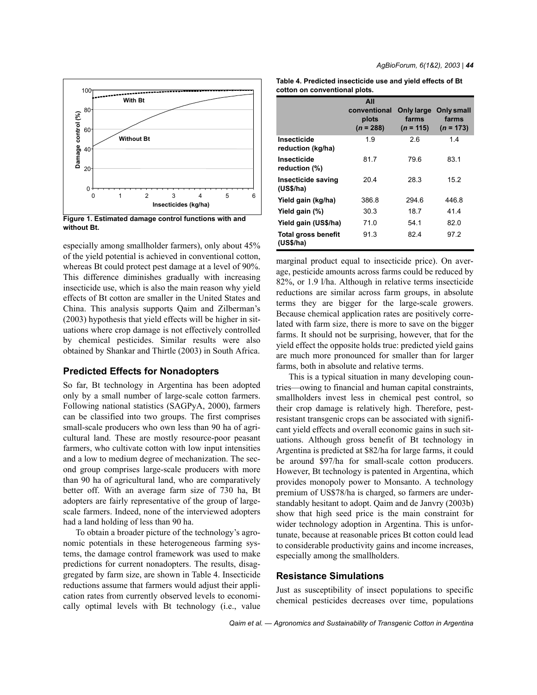

**Figure 1. Estimated damage control functions with and without Bt.**

especially among smallholder farmers), only about 45% of the yield potential is achieved in conventional cotton, whereas Bt could protect pest damage at a level of 90%. This difference diminishes gradually with increasing insecticide use, which is also the main reason why yield effects of Bt cotton are smaller in the United States and China. This analysis supports Qaim and Zilberman's (2003) hypothesis that yield effects will be higher in situations where crop damage is not effectively controlled by chemical pesticides. Similar results were also obtained by Shankar and Thirtle (2003) in South Africa.

### **Predicted Effects for Nonadopters**

So far, Bt technology in Argentina has been adopted only by a small number of large-scale cotton farmers. Following national statistics (SAGPyA, 2000), farmers can be classified into two groups. The first comprises small-scale producers who own less than 90 ha of agricultural land. These are mostly resource-poor peasant farmers, who cultivate cotton with low input intensities and a low to medium degree of mechanization. The second group comprises large-scale producers with more than 90 ha of agricultural land, who are comparatively better off. With an average farm size of 730 ha, Bt adopters are fairly representative of the group of largescale farmers. Indeed, none of the interviewed adopters had a land holding of less than 90 ha.

To obtain a broader picture of the technology's agronomic potentials in these heterogeneous farming systems, the damage control framework was used to make predictions for current nonadopters. The results, disaggregated by farm size, are shown in Table 4. Insecticide reductions assume that farmers would adjust their application rates from currently observed levels to economically optimal levels with Bt technology (i.e., value

| Table 4. Predicted insecticide use and yield effects of Bt |  |
|------------------------------------------------------------|--|
| cotton on conventional plots.                              |  |

|                                         | All<br>conventional<br>plots<br>$(n = 288)$ | Only large<br>farms<br>$(n = 115)$ | Only small<br>farms<br>$(n = 173)$ |
|-----------------------------------------|---------------------------------------------|------------------------------------|------------------------------------|
| Insecticide<br>reduction (kg/ha)        | 1.9                                         | 2.6                                | 1.4                                |
| Insecticide<br>reduction (%)            | 81.7                                        | 79.6                               | 83.1                               |
| Insecticide saving<br>(US\$/ha)         | 204                                         | 28.3                               | 15.2                               |
| Yield gain (kg/ha)                      | 386.8                                       | 294.6                              | 446.8                              |
| Yield gain (%)                          | 30.3                                        | 18.7                               | 41.4                               |
| Yield gain (US\$/ha)                    | 71.0                                        | 54.1                               | 82.0                               |
| <b>Total gross benefit</b><br>(US\$/ha) | 91.3                                        | 824                                | 972                                |

marginal product equal to insecticide price). On average, pesticide amounts across farms could be reduced by 82%, or 1.9 l/ha. Although in relative terms insecticide reductions are similar across farm groups, in absolute terms they are bigger for the large-scale growers. Because chemical application rates are positively correlated with farm size, there is more to save on the bigger farms. It should not be surprising, however, that for the yield effect the opposite holds true: predicted yield gains are much more pronounced for smaller than for larger farms, both in absolute and relative terms.

This is a typical situation in many developing countries—owing to financial and human capital constraints, smallholders invest less in chemical pest control, so their crop damage is relatively high. Therefore, pestresistant transgenic crops can be associated with significant yield effects and overall economic gains in such situations. Although gross benefit of Bt technology in Argentina is predicted at \$82/ha for large farms, it could be around \$97/ha for small-scale cotton producers. However, Bt technology is patented in Argentina, which provides monopoly power to Monsanto. A technology premium of US\$78/ha is charged, so farmers are understandably hesitant to adopt. Qaim and de Janvry (2003b) show that high seed price is the main constraint for wider technology adoption in Argentina. This is unfortunate, because at reasonable prices Bt cotton could lead to considerable productivity gains and income increases, especially among the smallholders.

#### **Resistance Simulations**

Just as susceptibility of insect populations to specific chemical pesticides decreases over time, populations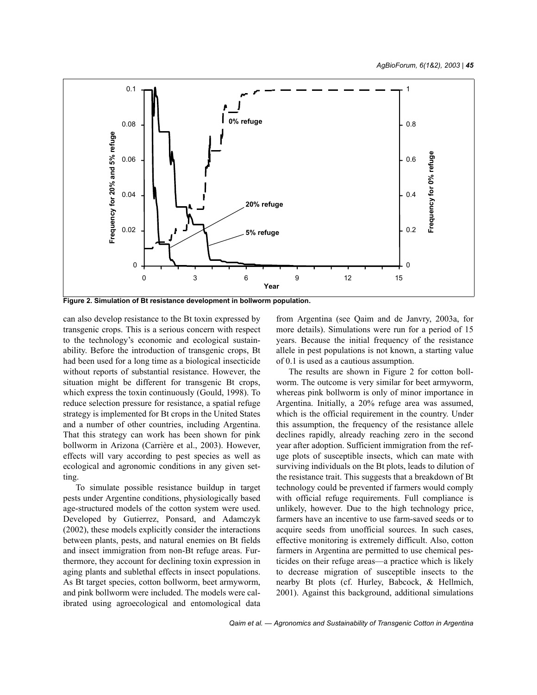

**Figure 2. Simulation of Bt resistance development in bollworm population.**

can also develop resistance to the Bt toxin expressed by transgenic crops. This is a serious concern with respect to the technology's economic and ecological sustainability. Before the introduction of transgenic crops, Bt had been used for a long time as a biological insecticide without reports of substantial resistance. However, the situation might be different for transgenic Bt crops, which express the toxin continuously (Gould, 1998). To reduce selection pressure for resistance, a spatial refuge strategy is implemented for Bt crops in the United States and a number of other countries, including Argentina. That this strategy can work has been shown for pink bollworm in Arizona (Carrière et al., 2003). However, effects will vary according to pest species as well as ecological and agronomic conditions in any given setting.

To simulate possible resistance buildup in target pests under Argentine conditions, physiologically based age-structured models of the cotton system were used. Developed by Gutierrez, Ponsard, and Adamczyk (2002), these models explicitly consider the interactions between plants, pests, and natural enemies on Bt fields and insect immigration from non-Bt refuge areas. Furthermore, they account for declining toxin expression in aging plants and sublethal effects in insect populations. As Bt target species, cotton bollworm, beet armyworm, and pink bollworm were included. The models were calibrated using agroecological and entomological data from Argentina (see Qaim and de Janvry, 2003a, for more details). Simulations were run for a period of 15 years. Because the initial frequency of the resistance allele in pest populations is not known, a starting value of 0.1 is used as a cautious assumption.

The results are shown in Figure 2 for cotton bollworm. The outcome is very similar for beet armyworm, whereas pink bollworm is only of minor importance in Argentina. Initially, a 20% refuge area was assumed, which is the official requirement in the country. Under this assumption, the frequency of the resistance allele declines rapidly, already reaching zero in the second year after adoption. Sufficient immigration from the refuge plots of susceptible insects, which can mate with surviving individuals on the Bt plots, leads to dilution of the resistance trait. This suggests that a breakdown of Bt technology could be prevented if farmers would comply with official refuge requirements. Full compliance is unlikely, however. Due to the high technology price, farmers have an incentive to use farm-saved seeds or to acquire seeds from unofficial sources. In such cases, effective monitoring is extremely difficult. Also, cotton farmers in Argentina are permitted to use chemical pesticides on their refuge areas—a practice which is likely to decrease migration of susceptible insects to the nearby Bt plots (cf. Hurley, Babcock, & Hellmich, 2001). Against this background, additional simulations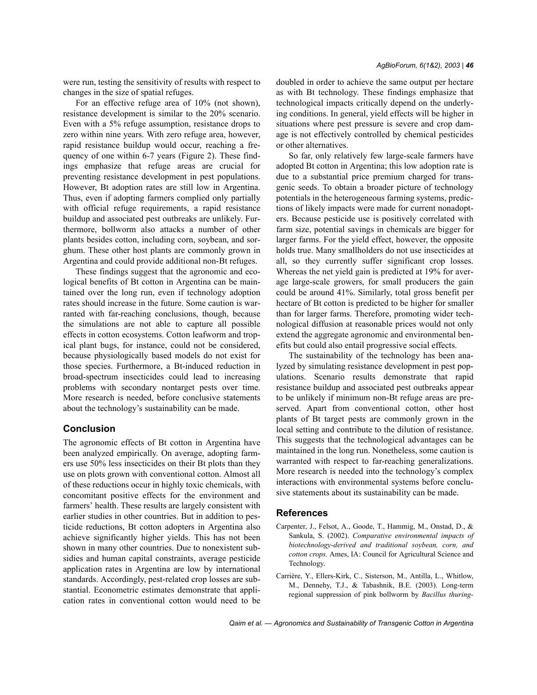were run, testing the sensitivity of results with respect to changes in the size of spatial refuges.

For an effective refuge area of 10% (not shown), resistance development is similar to the 20% scenario. Even with a 5% refuge assumption, resistance drops to zero within nine years. With zero refuge area, however, rapid resistance buildup would occur, reaching a frequency of one within 6-7 years (Figure 2). These findings emphasize that refuge areas are crucial for preventing resistance development in pest populations. However, Bt adoption rates are still low in Argentina. Thus, even if adopting farmers complied only partially with official refuge requirements, a rapid resistance buildup and associated pest outbreaks are unlikely. Furthermore, bollworm also attacks a number of other plants besides cotton, including corn, soybean, and sorghum. These other host plants are commonly grown in Argentina and could provide additional non-Bt refuges.

These findings suggest that the agronomic and ecological benefits of Bt cotton in Argentina can be maintained over the long run, even if technology adoption rates should increase in the future. Some caution is warranted with far-reaching conclusions, though, because the simulations are not able to capture all possible effects in cotton ecosystems. Cotton leafworm and tropical plant bugs, for instance, could not be considered, because physiologically based models do not exist for those species. Furthermore, a Bt-induced reduction in broad-spectrum insecticides could lead to increasing problems with secondary nontarget pests over time. More research is needed, before conclusive statements about the technology's sustainability can be made.

### **Conclusion**

The agronomic effects of Bt cotton in Argentina have been analyzed empirically. On average, adopting farmers use 50% less insecticides on their Bt plots than they use on plots grown with conventional cotton. Almost all of these reductions occur in highly toxic chemicals, with concomitant positive effects for the environment and farmers' health. These results are largely consistent with earlier studies in other countries. But in addition to pesticide reductions, Bt cotton adopters in Argentina also achieve significantly higher yields. This has not been shown in many other countries. Due to nonexistent subsidies and human capital constraints, average pesticide application rates in Argentina are low by international standards. Accordingly, pest-related crop losses are substantial. Econometric estimates demonstrate that application rates in conventional cotton would need to be doubled in order to achieve the same output per hectare as with Bt technology. These findings emphasize that technological impacts critically depend on the underlying conditions. In general, yield effects will be higher in situations where pest pressure is severe and crop damage is not effectively controlled by chemical pesticides or other alternatives.

So far, only relatively few large-scale farmers have adopted Bt cotton in Argentina; this low adoption rate is due to a substantial price premium charged for transgenic seeds. To obtain a broader picture of technology potentials in the heterogeneous farming systems, predictions of likely impacts were made for current nonadopters. Because pesticide use is positively correlated with farm size, potential savings in chemicals are bigger for larger farms. For the yield effect, however, the opposite holds true. Many smallholders do not use insecticides at all, so they currently suffer significant crop losses. Whereas the net yield gain is predicted at 19% for average large-scale growers, for small producers the gain could be around 41%. Similarly, total gross benefit per hectare of Bt cotton is predicted to be higher for smaller than for larger farms. Therefore, promoting wider technological diffusion at reasonable prices would not only extend the aggregate agronomic and environmental benefits but could also entail progressive social effects.

The sustainability of the technology has been analyzed by simulating resistance development in pest populations. Scenario results demonstrate that rapid resistance buildup and associated pest outbreaks appear to be unlikely if minimum non-Bt refuge areas are preserved. Apart from conventional cotton, other host plants of Bt target pests are commonly grown in the local setting and contribute to the dilution of resistance. This suggests that the technological advantages can be maintained in the long run. Nonetheless, some caution is warranted with respect to far-reaching generalizations. More research is needed into the technology's complex interactions with environmental systems before conclusive statements about its sustainability can be made.

#### **References**

- Carpenter, J., Felsot, A., Goode, T., Hammig, M., Onstad, D., & Sankula, S. (2002). *Comparative environmental impacts of biotechnology-derived and traditional soybean, corn, and cotton crops.* Ames, IA: Council for Agricultural Science and Technology.
- Carrière, Y., Ellers-Kirk, C., Sisterson, M., Antilla, L., Whitlow, M., Dennehy, T.J., & Tabashnik, B.E. (2003). Long-term regional suppression of pink bollworm by *Bacillus thuring-*

Qaim et al.  $-$  Agronomics and Sustainability of Transgenic Cotton in Argentina